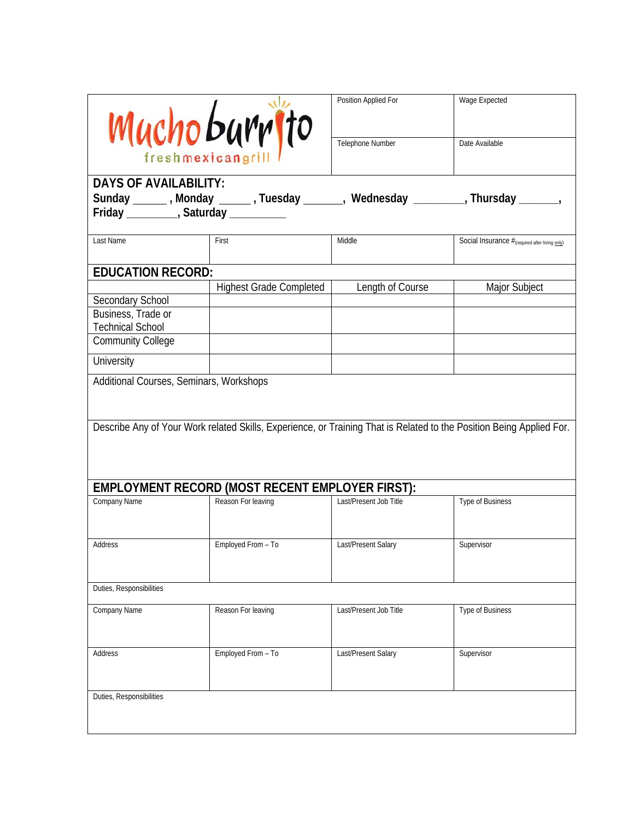| Muchoburrito      |  |
|-------------------|--|
| freshmexicangrill |  |

| Muchoburrito<br>freshmexicangri                                                                                                                                         |                                | Position Applied For<br>Telephone Number | Wage Expected<br>Date Available                                |  |  |
|-------------------------------------------------------------------------------------------------------------------------------------------------------------------------|--------------------------------|------------------------------------------|----------------------------------------------------------------|--|--|
| <b>DAYS OF AVAILABILITY:</b><br>Sunday _______, Monday _______, Tuesday _______, Wednesday _________, Thursday _______<br>Friday __________, Saturday _________         |                                |                                          |                                                                |  |  |
| Last Name                                                                                                                                                               | First                          | Middle                                   | Social Insurance $#_{(required \ after \ hiring \text{only})}$ |  |  |
| <b>EDUCATION RECORD:</b>                                                                                                                                                |                                |                                          |                                                                |  |  |
|                                                                                                                                                                         | <b>Highest Grade Completed</b> | Length of Course                         | Major Subject                                                  |  |  |
| Secondary School                                                                                                                                                        |                                |                                          |                                                                |  |  |
| Business, Trade or                                                                                                                                                      |                                |                                          |                                                                |  |  |
| <b>Technical School</b>                                                                                                                                                 |                                |                                          |                                                                |  |  |
| <b>Community College</b>                                                                                                                                                |                                |                                          |                                                                |  |  |
| University                                                                                                                                                              |                                |                                          |                                                                |  |  |
| Additional Courses, Seminars, Workshops                                                                                                                                 |                                |                                          |                                                                |  |  |
| Describe Any of Your Work related Skills, Experience, or Training That is Related to the Position Being Applied For.<br>EMPLOYMENT RECORD (MOST RECENT EMPLOYER FIRST): |                                |                                          |                                                                |  |  |
|                                                                                                                                                                         |                                |                                          |                                                                |  |  |
| Company Name                                                                                                                                                            | Reason For leaving             | Last/Present Job Title                   | Type of Business                                               |  |  |
| Address                                                                                                                                                                 | Employed From - To             | Last/Present Salary                      | Supervisor                                                     |  |  |
| Duties, Responsibilities                                                                                                                                                |                                |                                          |                                                                |  |  |

| Duties, Responsibilities |                    |                        |                  |  |  |
|--------------------------|--------------------|------------------------|------------------|--|--|
| Company Name             | Reason For leaving | Last/Present Job Title | Type of Business |  |  |
| Address                  | Employed From - To | Last/Present Salary    | Supervisor       |  |  |
| Duties, Responsibilities |                    |                        |                  |  |  |